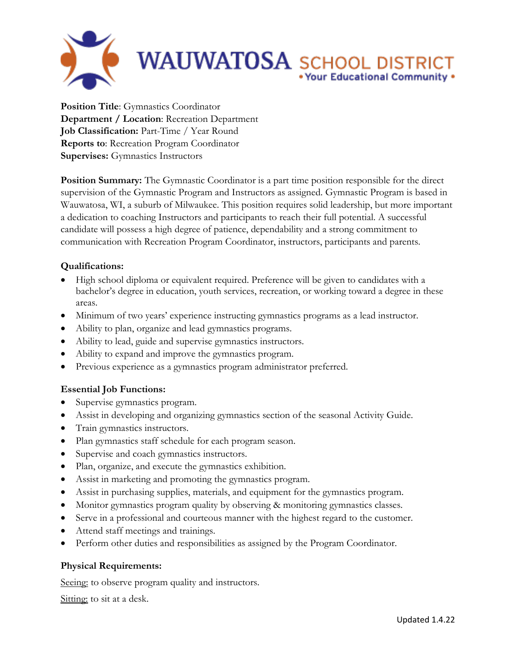

**Position Title**: Gymnastics Coordinator **Department / Location**: Recreation Department **Job Classification:** Part-Time / Year Round **Reports to**: Recreation Program Coordinator **Supervises:** Gymnastics Instructors

**Position Summary:** The Gymnastic Coordinator is a part time position responsible for the direct supervision of the Gymnastic Program and Instructors as assigned. Gymnastic Program is based in Wauwatosa, WI, a suburb of Milwaukee. This position requires solid leadership, but more important a dedication to coaching Instructors and participants to reach their full potential. A successful candidate will possess a high degree of patience, dependability and a strong commitment to communication with Recreation Program Coordinator, instructors, participants and parents.

## **Qualifications:**

- High school diploma or equivalent required. Preference will be given to candidates with a bachelor's degree in education, youth services, recreation, or working toward a degree in these areas.
- Minimum of two years' experience instructing gymnastics programs as a lead instructor.
- Ability to plan, organize and lead gymnastics programs.
- Ability to lead, guide and supervise gymnastics instructors.
- Ability to expand and improve the gymnastics program.
- Previous experience as a gymnastics program administrator preferred.

## **Essential Job Functions:**

- Supervise gymnastics program.
- Assist in developing and organizing gymnastics section of the seasonal Activity Guide.
- Train gymnastics instructors.
- Plan gymnastics staff schedule for each program season.
- Supervise and coach gymnastics instructors.
- Plan, organize, and execute the gymnastics exhibition.
- Assist in marketing and promoting the gymnastics program.
- Assist in purchasing supplies, materials, and equipment for the gymnastics program.
- Monitor gymnastics program quality by observing & monitoring gymnastics classes.
- Serve in a professional and courteous manner with the highest regard to the customer.
- Attend staff meetings and trainings.
- Perform other duties and responsibilities as assigned by the Program Coordinator.

## **Physical Requirements:**

Seeing: to observe program quality and instructors.

Sitting: to sit at a desk.